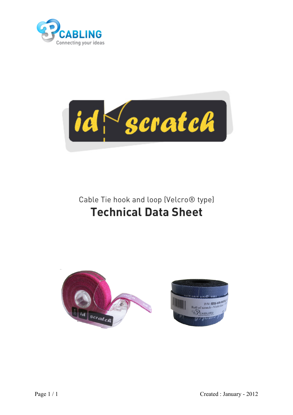



Cable Tie hook and loop (Velcro® type) **Technical Data Sheet**

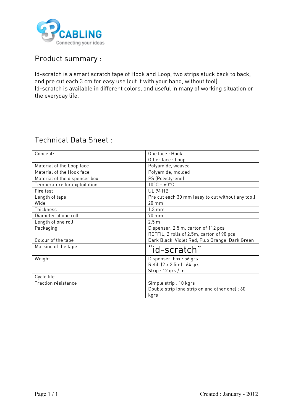

## Product summary :

Id-scratch is a smart scratch tape of Hook and Loop, two strips stuck back to back, and pre cut each 3 cm for easy use (cut it with your hand, without tool). Id-scratch is available in different colors, and useful in many of working situation or the everyday life.

## Technical Data Sheet :

| Concept:                      | One face: Hook                                    |  |  |
|-------------------------------|---------------------------------------------------|--|--|
|                               | Other face: Loop                                  |  |  |
| Material of the Loop face     | Polyamide, weaved                                 |  |  |
| Material of the Hook face     | Polyamide, molded                                 |  |  |
| Material of the dispenser box | PS (Polystyrene)                                  |  |  |
| Temperature for exploitation  | $10^{\circ}$ C - 60 $^{\circ}$ C                  |  |  |
| Fire test                     | <b>UL 94 HB</b>                                   |  |  |
| Length of tape                | Pre cut each 30 mm (easy to cut without any tool) |  |  |
| Wide                          | $20 \text{ mm}$                                   |  |  |
| Thickness                     | $1.3 \text{ mm}$                                  |  |  |
| Diameter of one roll          | 70 mm                                             |  |  |
| Length of one roll            | 2.5 <sub>m</sub>                                  |  |  |
| Packaging                     | Dispenser, 2.5 m, carton of 112 pcs               |  |  |
|                               | REFFIL, 2 rolls of 2.5m, carton of 90 pcs         |  |  |
| Colour of the tape            | Dark Black, Violet Red, Fluo Orange, Dark Green   |  |  |
| Marking of the tape           | <br>id-scratch"                                   |  |  |
|                               |                                                   |  |  |
| Weight                        | Dispenser box: 56 grs                             |  |  |
|                               | Refill (2 x 2,5m) : 64 grs                        |  |  |
|                               | Strip: $12$ grs / m                               |  |  |
| Cycle life                    |                                                   |  |  |
| Traction résistance           | Simple strip: 10 kgrs                             |  |  |
|                               | Double strip (one strip on and other one) : 60    |  |  |
|                               | kgrs                                              |  |  |